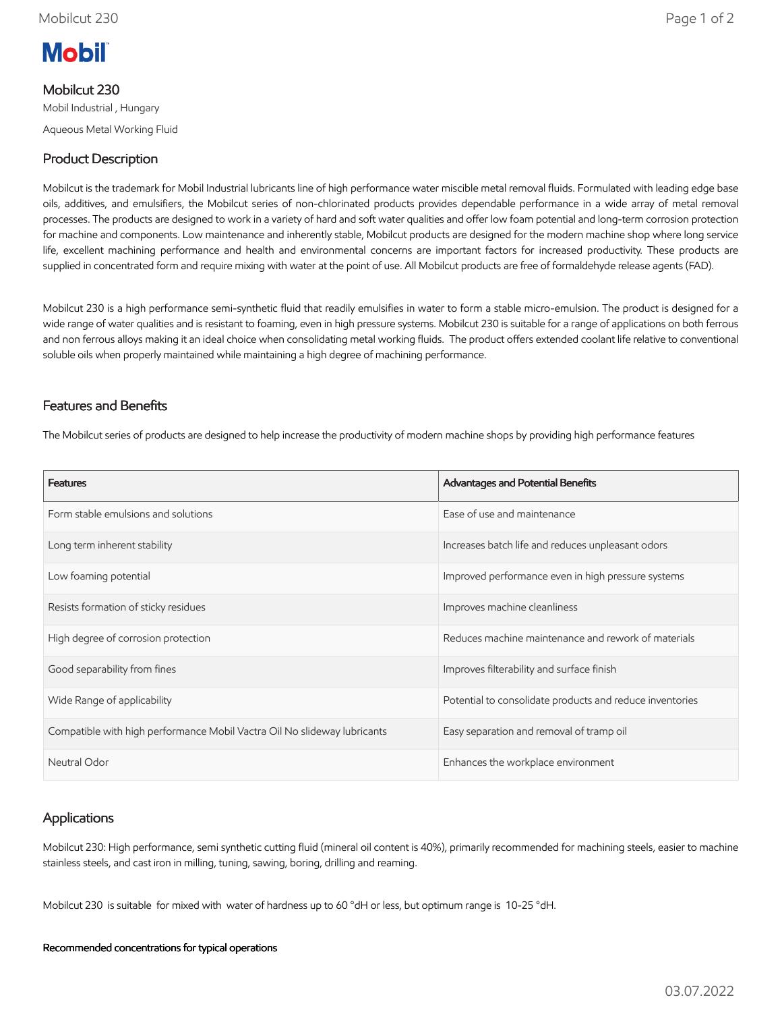

## Mobilcut 230

Mobil Industrial , Hungary Aqueous Metal Working Fluid

# Product Description

Mobilcut is the trademark for Mobil Industrial lubricants line of high performance water miscible metal removal fluids. Formulated with leading edge base oils, additives, and emulsifiers, the Mobilcut series of non-chlorinated products provides dependable performance in a wide array of metal removal processes. The products are designed to work in a variety of hard and soft water qualities and offer low foam potential and long-term corrosion protection for machine and components. Low maintenance and inherently stable, Mobilcut products are designed for the modern machine shop where long service life, excellent machining performance and health and environmental concerns are important factors for increased productivity. These products are supplied in concentrated form and require mixing with water at the point of use. All Mobilcut products are free of formaldehyde release agents (FAD).

Mobilcut 230 is a high performance semi-synthetic fluid that readily emulsifies in water to form a stable micro-emulsion. The product is designed for a wide range of water qualities and is resistant to foaming, even in high pressure systems. Mobilcut 230 is suitable for a range of applications on both ferrous and non ferrous alloys making it an ideal choice when consolidating metal working fluids. The product offers extended coolant life relative to conventional soluble oils when properly maintained while maintaining a high degree of machining performance.

## Features and Benefits

The Mobilcut series of products are designed to help increase the productivity of modern machine shops by providing high performance features

| <b>Features</b>                                                          | Advantages and Potential Benefits                        |
|--------------------------------------------------------------------------|----------------------------------------------------------|
| Form stable emulsions and solutions                                      | Ease of use and maintenance                              |
| Long term inherent stability                                             | Increases batch life and reduces unpleasant odors        |
| Low foaming potential                                                    | Improved performance even in high pressure systems       |
| Resists formation of sticky residues                                     | Improves machine cleanliness                             |
| High degree of corrosion protection                                      | Reduces machine maintenance and rework of materials      |
| Good separability from fines                                             | Improves filterability and surface finish                |
| Wide Range of applicability                                              | Potential to consolidate products and reduce inventories |
| Compatible with high performance Mobil Vactra Oil No slideway lubricants | Easy separation and removal of tramp oil                 |
| Neutral Odor                                                             | Enhances the workplace environment                       |

# Applications

Mobilcut 230: High performance, semi synthetic cutting fluid (mineral oil content is 40%), primarily recommended for machining steels, easier to machine stainless steels, and cast iron in milling, tuning, sawing, boring, drilling and reaming.

Mobilcut 230 is suitable for mixed with water of hardness up to 60 °dH or less, but optimum range is 10-25 °dH.